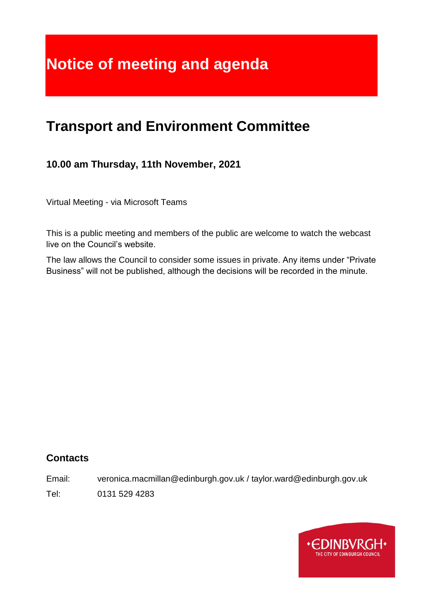# **Notice of meeting and agenda**

## **Transport and Environment Committee**

## **10.00 am Thursday, 11th November, 2021**

Virtual Meeting - via Microsoft Teams

This is a public meeting and members of the public are welcome to watch the webcast live on the Council's website.

The law allows the Council to consider some issues in private. Any items under "Private Business" will not be published, although the decisions will be recorded in the minute.

## **Contacts**

Email: veronica.macmillan@edinburgh.gov.uk / taylor.ward@edinburgh.gov.uk

Tel: 0131 529 4283

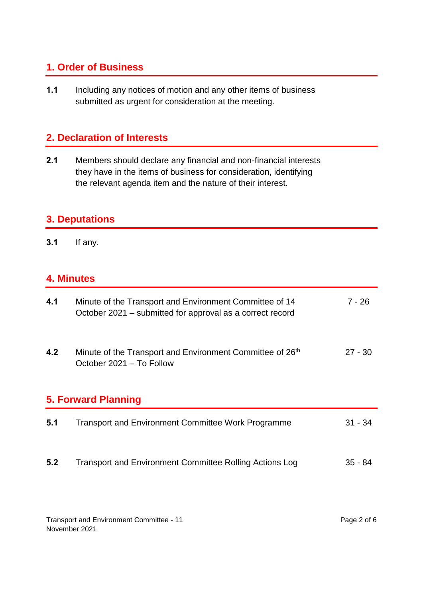## **1. Order of Business**

**1.1** Including any notices of motion and any other items of business submitted as urgent for consideration at the meeting.

## **2. Declaration of Interests**

**2.1** Members should declare any financial and non-financial interests they have in the items of business for consideration, identifying the relevant agenda item and the nature of their interest.

#### **3. Deputations**

**3.1** If any.

## **4. Minutes**

| 4.1                        | Minute of the Transport and Environment Committee of 14<br>October 2021 – submitted for approval as a correct record | 7 - 26    |  |
|----------------------------|----------------------------------------------------------------------------------------------------------------------|-----------|--|
| 4.2                        | Minute of the Transport and Environment Committee of 26th<br>October 2021 - To Follow                                | $27 - 30$ |  |
| <b>5. Forward Planning</b> |                                                                                                                      |           |  |
| 5.1                        | <b>Transport and Environment Committee Work Programme</b>                                                            | $31 - 34$ |  |
| 5.2                        | <b>Transport and Environment Committee Rolling Actions Log</b>                                                       | $35 - 84$ |  |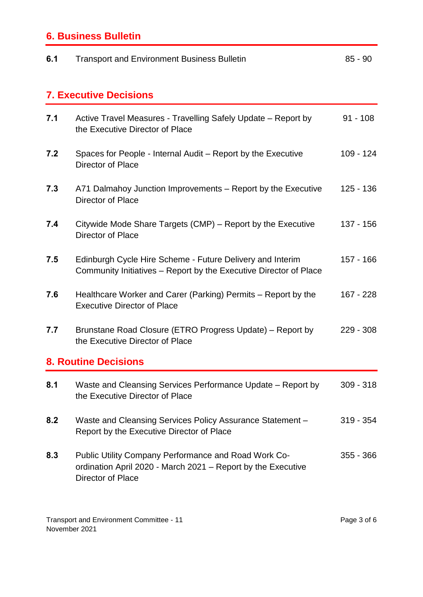## **6. Business Bulletin**

| 6.1                           | <b>Transport and Environment Business Bulletin</b>                                                                                                      | $85 - 90$   |  |
|-------------------------------|---------------------------------------------------------------------------------------------------------------------------------------------------------|-------------|--|
| <b>7. Executive Decisions</b> |                                                                                                                                                         |             |  |
| 7.1                           | Active Travel Measures - Travelling Safely Update – Report by<br>the Executive Director of Place                                                        | $91 - 108$  |  |
| 7.2                           | Spaces for People - Internal Audit – Report by the Executive<br>Director of Place                                                                       | 109 - 124   |  |
| 7.3                           | A71 Dalmahoy Junction Improvements – Report by the Executive<br>Director of Place                                                                       | $125 - 136$ |  |
| 7.4                           | Citywide Mode Share Targets (CMP) – Report by the Executive<br><b>Director of Place</b>                                                                 | 137 - 156   |  |
| 7.5                           | Edinburgh Cycle Hire Scheme - Future Delivery and Interim<br>Community Initiatives – Report by the Executive Director of Place                          | 157 - 166   |  |
| 7.6                           | Healthcare Worker and Carer (Parking) Permits – Report by the<br><b>Executive Director of Place</b>                                                     | 167 - 228   |  |
| 7.7                           | Brunstane Road Closure (ETRO Progress Update) – Report by<br>the Executive Director of Place                                                            | $229 - 308$ |  |
| <b>8. Routine Decisions</b>   |                                                                                                                                                         |             |  |
| 8.1                           | Waste and Cleansing Services Performance Update – Report by<br>the Executive Director of Place                                                          | $309 - 318$ |  |
| 8.2                           | Waste and Cleansing Services Policy Assurance Statement -<br>Report by the Executive Director of Place                                                  | $319 - 354$ |  |
| 8.3                           | <b>Public Utility Company Performance and Road Work Co-</b><br>ordination April 2020 - March 2021 - Report by the Executive<br><b>Director of Place</b> | $355 - 366$ |  |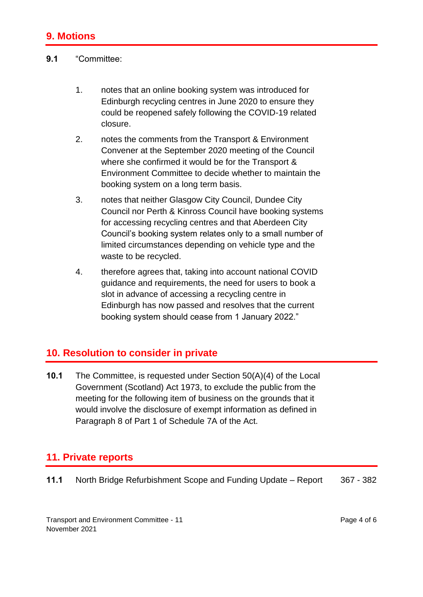#### **9.1** "Committee:

- 1. notes that an online booking system was introduced for Edinburgh recycling centres in June 2020 to ensure they could be reopened safely following the COVID-19 related closure.
- 2. notes the comments from the Transport & Environment Convener at the September 2020 meeting of the Council where she confirmed it would be for the Transport & Environment Committee to decide whether to maintain the booking system on a long term basis.
- 3. notes that neither Glasgow City Council, Dundee City Council nor Perth & Kinross Council have booking systems for accessing recycling centres and that Aberdeen City Council's booking system relates only to a small number of limited circumstances depending on vehicle type and the waste to be recycled.
- 4. therefore agrees that, taking into account national COVID guidance and requirements, the need for users to book a slot in advance of accessing a recycling centre in Edinburgh has now passed and resolves that the current booking system should cease from 1 January 2022."

## **10. Resolution to consider in private**

**10.1** The Committee, is requested under Section 50(A)(4) of the Local Government (Scotland) Act 1973, to exclude the public from the meeting for the following item of business on the grounds that it would involve the disclosure of exempt information as defined in Paragraph 8 of Part 1 of Schedule 7A of the Act.

## **11. Private reports**

**11.1** North Bridge Refurbishment Scope and Funding Update – Report 367 - 382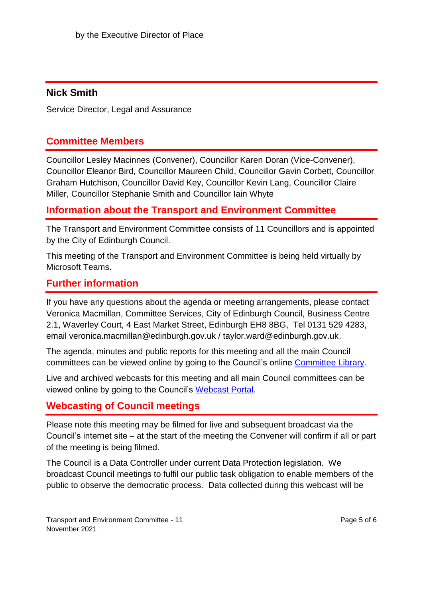#### **Nick Smith**

Service Director, Legal and Assurance

#### **Committee Members**

Councillor Lesley Macinnes (Convener), Councillor Karen Doran (Vice-Convener), Councillor Eleanor Bird, Councillor Maureen Child, Councillor Gavin Corbett, Councillor Graham Hutchison, Councillor David Key, Councillor Kevin Lang, Councillor Claire Miller, Councillor Stephanie Smith and Councillor Iain Whyte

#### **Information about the Transport and Environment Committee**

The Transport and Environment Committee consists of 11 Councillors and is appointed by the City of Edinburgh Council.

This meeting of the Transport and Environment Committee is being held virtually by Microsoft Teams.

#### **Further information**

If you have any questions about the agenda or meeting arrangements, please contact Veronica Macmillan, Committee Services, City of Edinburgh Council, Business Centre 2.1, Waverley Court, 4 East Market Street, Edinburgh EH8 8BG, Tel 0131 529 4283, email veronica.macmillan@edinburgh.gov.uk / taylor.ward@edinburgh.gov.uk.

The agenda, minutes and public reports for this meeting and all the main Council committees can be viewed online by going to the Council's online [Committee Library.](https://democracy.edinburgh.gov.uk/ieDocHome.aspx?bcr=1)

Live and archived webcasts for this meeting and all main Council committees can be viewed online by going to the Council's [Webcast Portal.](https://edinburgh.public-i.tv/core/portal/home)

## **Webcasting of Council meetings**

Please note this meeting may be filmed for live and subsequent broadcast via the Council's internet site – at the start of the meeting the Convener will confirm if all or part of the meeting is being filmed.

The Council is a Data Controller under current Data Protection legislation. We broadcast Council meetings to fulfil our public task obligation to enable members of the public to observe the democratic process. Data collected during this webcast will be